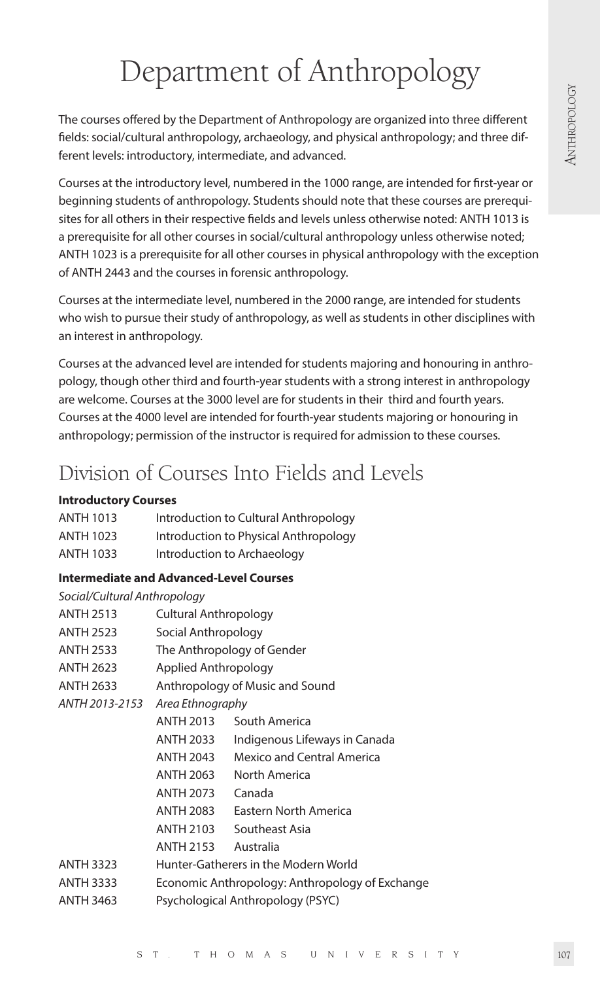# Department of Anthropology

The courses offered by the Department of Anthropology are organized into three different fields: social/cultural anthropology, archaeology, and physical anthropology; and three different levels: introductory, intermediate, and advanced.

Courses at the introductory level, numbered in the 1000 range, are intended for first-year or beginning students of anthropology. Students should note that these courses are prerequisites for all others in their respective fields and levels unless otherwise noted: ANTH 1013 is a prerequisite for all other courses in social/cultural anthropology unless otherwise noted; ANTH 1023 is a prerequisite for all other courses in physical anthropology with the exception of ANTH 2443 and the courses in forensic anthropology.

Courses at the intermediate level, numbered in the 2000 range, are intended for students who wish to pursue their study of anthropology, as well as students in other disciplines with an interest in anthropology.

Courses at the advanced level are intended for students majoring and honouring in anthropology, though other third and fourth-year students with a strong interest in anthropology are welcome. Courses at the 3000 level are for students in their third and fourth years. Courses at the 4000 level are intended for fourth-year students majoring or honouring in anthropology; permission of the instructor is required for admission to these courses.

# Division of Courses Into Fields and Levels

# **Introductory Courses**

| <b>ANTH 1013</b> | Introduction to Cultural Anthropology |
|------------------|---------------------------------------|
| <b>ANTH 1023</b> | Introduction to Physical Anthropology |
| <b>ANTH 1033</b> | Introduction to Archaeology           |

# **Intermediate and Advanced-Level Courses**

# *Social/Cultural Anthropology*

| <b>ANTH 2513</b> | <b>Cultural Anthropology</b> |                                                 |
|------------------|------------------------------|-------------------------------------------------|
| <b>ANTH 2523</b> | Social Anthropology          |                                                 |
| <b>ANTH 2533</b> |                              | The Anthropology of Gender                      |
| <b>ANTH 2623</b> | Applied Anthropology         |                                                 |
| <b>ANTH 2633</b> |                              | Anthropology of Music and Sound                 |
| ANTH 2013-2153   | Area Ethnography             |                                                 |
|                  | <b>ANTH 2013</b>             | South America                                   |
|                  | ANTH 2033                    | Indigenous Lifeways in Canada                   |
|                  | <b>ANTH 2043</b>             | <b>Mexico and Central America</b>               |
|                  | <b>ANTH 2063</b>             | North America                                   |
|                  | <b>ANTH 2073</b>             | Canada                                          |
|                  | <b>ANTH 2083</b>             | Eastern North America                           |
|                  | <b>ANTH 2103</b>             | Southeast Asia                                  |
|                  | <b>ANTH 2153</b>             | Australia                                       |
| <b>ANTH 3323</b> |                              | Hunter-Gatherers in the Modern World            |
| <b>ANTH 3333</b> |                              | Economic Anthropology: Anthropology of Exchange |
| <b>ANTH 3463</b> |                              | Psychological Anthropology (PSYC)               |
|                  |                              |                                                 |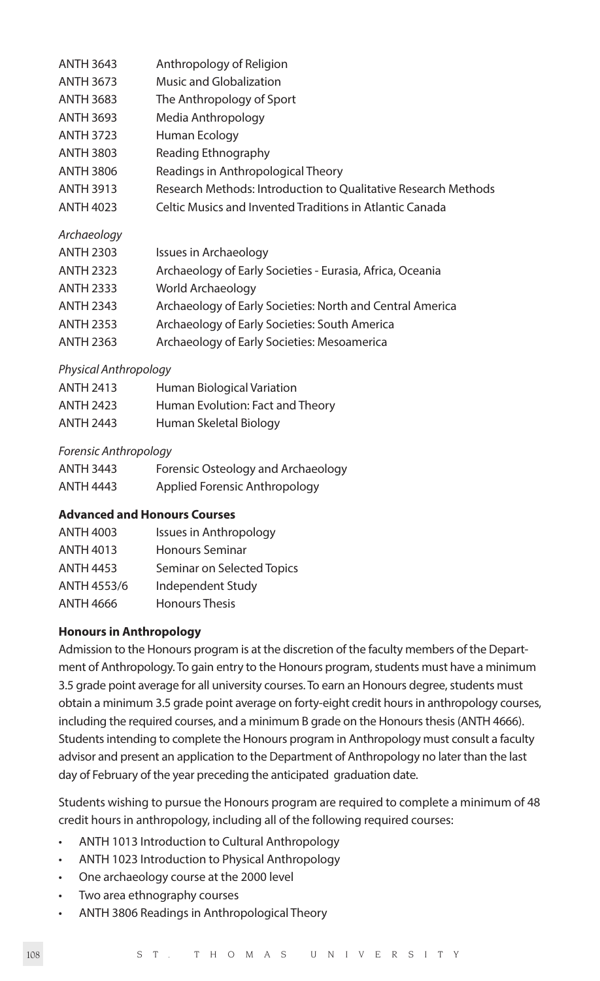| <b>ANTH 3643</b> | Anthropology of Religion                                       |
|------------------|----------------------------------------------------------------|
| <b>ANTH 3673</b> | Music and Globalization                                        |
| <b>ANTH 3683</b> | The Anthropology of Sport                                      |
| <b>ANTH 3693</b> | Media Anthropology                                             |
| <b>ANTH 3723</b> | Human Ecology                                                  |
| <b>ANTH 3803</b> | Reading Ethnography                                            |
| ANTH 3806        | Readings in Anthropological Theory                             |
| <b>ANTH 3913</b> | Research Methods: Introduction to Qualitative Research Methods |
| <b>ANTH 4023</b> | Celtic Musics and Invented Traditions in Atlantic Canada       |
| Archaeology      |                                                                |
| <b>ANTH 2303</b> | Issues in Archaeology                                          |
| <b>ANTH 2323</b> | Archaeology of Early Societies - Eurasia, Africa, Oceania      |

- ANTH 2333 World Archaeology
- ANTH 2343 Archaeology of Early Societies: North and Central America
- ANTH 2353 Archaeology of Early Societies: South America
- ANTH 2363 Archaeology of Early Societies: Mesoamerica

# *Physical Anthropology*

| <b>ANTH 2413</b> | Human Biological Variation       |
|------------------|----------------------------------|
| <b>ANTH 2423</b> | Human Evolution: Fact and Theory |
| <b>ANTH 2443</b> | Human Skeletal Biology           |

# *Forensic Anthropology*

| <b>ANTH 3443</b> | Forensic Osteology and Archaeology |
|------------------|------------------------------------|
| <b>ANTH 4443</b> | Applied Forensic Anthropology      |

# **Advanced and Honours Courses**

| ANTH 4003        | Issues in Anthropology     |
|------------------|----------------------------|
| <b>ANTH 4013</b> | <b>Honours Seminar</b>     |
| <b>ANTH 4453</b> | Seminar on Selected Topics |
| ANTH 4553/6      | Independent Study          |
| <b>ANTH 4666</b> | <b>Honours Thesis</b>      |

# **Honours in Anthropology**

Admission to the Honours program is at the discretion of the faculty members of the Department of Anthropology. To gain entry to the Honours program, students must have a minimum 3.5 grade point average for all university courses. To earn an Honours degree, students must obtain a minimum 3.5 grade point average on forty-eight credit hours in anthropology courses, including the required courses, and a minimum B grade on the Honours thesis (ANTH 4666). Students intending to complete the Honours program in Anthropology must consult a faculty advisor and present an application to the Department of Anthropology no later than the last day of February of the year preceding the anticipated graduation date.

Students wishing to pursue the Honours program are required to complete a minimum of 48 credit hours in anthropology, including all of the following required courses:

- ANTH 1013 Introduction to Cultural Anthropology
- ANTH 1023 Introduction to Physical Anthropology
- One archaeology course at the 2000 level
- Two area ethnography courses
- ANTH 3806 Readings in Anthropological Theory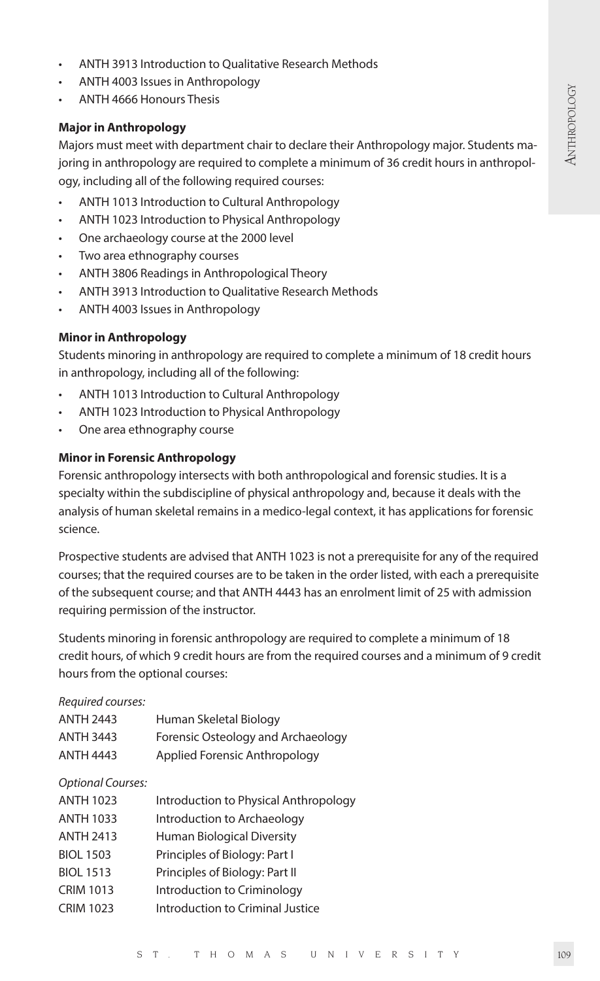- ANTH 3913 Introduction to Qualitative Research Methods
- ANTH 4003 Issues in Anthropology
- ANTH 4666 Honours Thesis

#### **Major in Anthropology**

Majors must meet with department chair to declare their Anthropology major. Students majoring in anthropology are required to complete a minimum of 36 credit hours in anthropology, including all of the following required courses:

- ANTH 1013 Introduction to Cultural Anthropology
- ANTH 1023 Introduction to Physical Anthropology
- One archaeology course at the 2000 level
- Two area ethnography courses
- ANTH 3806 Readings in Anthropological Theory
- ANTH 3913 Introduction to Qualitative Research Methods
- ANTH 4003 Issues in Anthropology

#### **Minor in Anthropology**

Students minoring in anthropology are required to complete a minimum of 18 credit hours in anthropology, including all of the following:

- ANTH 1013 Introduction to Cultural Anthropology
- ANTH 1023 Introduction to Physical Anthropology
- One area ethnography course

# **Minor in Forensic Anthropology**

Forensic anthropology intersects with both anthropological and forensic studies. It is a specialty within the subdiscipline of physical anthropology and, because it deals with the analysis of human skeletal remains in a medico-legal context, it has applications for forensic science.

Prospective students are advised that ANTH 1023 is not a prerequisite for any of the required courses; that the required courses are to be taken in the order listed, with each a prerequisite of the subsequent course; and that ANTH 4443 has an enrolment limit of 25 with admission requiring permission of the instructor.

Students minoring in forensic anthropology are required to complete a minimum of 18 credit hours, of which 9 credit hours are from the required courses and a minimum of 9 credit hours from the optional courses:

#### *Required courses:*

| <b>ANTH 2443</b> | Human Skeletal Biology             |
|------------------|------------------------------------|
| <b>ANTH 3443</b> | Forensic Osteology and Archaeology |
| <b>ANTH 4443</b> | Applied Forensic Anthropology      |

#### *Optional Courses:*

| <b>ANTH 1023</b> | Introduction to Physical Anthropology |
|------------------|---------------------------------------|
| <b>ANTH 1033</b> | Introduction to Archaeology           |
| <b>ANTH 2413</b> | Human Biological Diversity            |
| <b>BIOL 1503</b> | Principles of Biology: Part I         |
| <b>BIOL 1513</b> | Principles of Biology: Part II        |
| <b>CRIM 1013</b> | Introduction to Criminology           |
| <b>CRIM 1023</b> | Introduction to Criminal Justice      |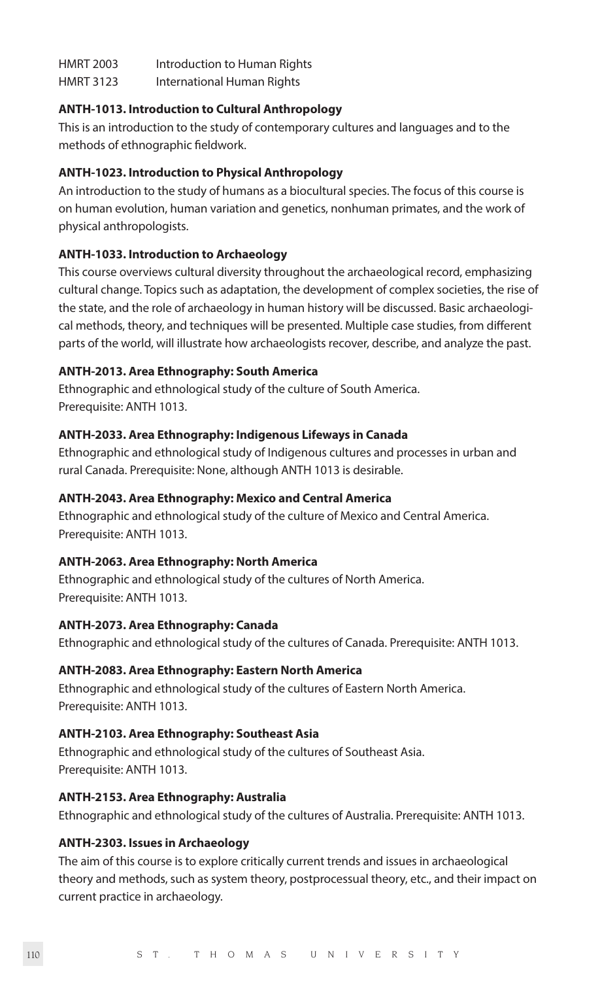| <b>HMRT 2003</b> | Introduction to Human Rights |
|------------------|------------------------------|
| <b>HMRT 3123</b> | International Human Rights   |

# **ANTH-1013. Introduction to Cultural Anthropology**

This is an introduction to the study of contemporary cultures and languages and to the methods of ethnographic fieldwork.

# **ANTH-1023. Introduction to Physical Anthropology**

An introduction to the study of humans as a biocultural species. The focus of this course is on human evolution, human variation and genetics, nonhuman primates, and the work of physical anthropologists.

# **ANTH-1033. Introduction to Archaeology**

This course overviews cultural diversity throughout the archaeological record, emphasizing cultural change. Topics such as adaptation, the development of complex societies, the rise of the state, and the role of archaeology in human history will be discussed. Basic archaeological methods, theory, and techniques will be presented. Multiple case studies, from different parts of the world, will illustrate how archaeologists recover, describe, and analyze the past.

# **ANTH-2013. Area Ethnography: South America**

Ethnographic and ethnological study of the culture of South America. Prerequisite: ANTH 1013.

# **ANTH-2033. Area Ethnography: Indigenous Lifeways in Canada**

Ethnographic and ethnological study of Indigenous cultures and processes in urban and rural Canada. Prerequisite: None, although ANTH 1013 is desirable.

# **ANTH-2043. Area Ethnography: Mexico and Central America**

Ethnographic and ethnological study of the culture of Mexico and Central America. Prerequisite: ANTH 1013.

# **ANTH-2063. Area Ethnography: North America**

Ethnographic and ethnological study of the cultures of North America. Prerequisite: ANTH 1013.

# **ANTH-2073. Area Ethnography: Canada**

Ethnographic and ethnological study of the cultures of Canada. Prerequisite: ANTH 1013.

# **ANTH-2083. Area Ethnography: Eastern North America**

Ethnographic and ethnological study of the cultures of Eastern North America. Prerequisite: ANTH 1013.

# **ANTH-2103. Area Ethnography: Southeast Asia**

Ethnographic and ethnological study of the cultures of Southeast Asia. Prerequisite: ANTH 1013.

# **ANTH-2153. Area Ethnography: Australia**

Ethnographic and ethnological study of the cultures of Australia. Prerequisite: ANTH 1013.

# **ANTH-2303. Issues in Archaeology**

The aim of this course is to explore critically current trends and issues in archaeological theory and methods, such as system theory, postprocessual theory, etc., and their impact on current practice in archaeology.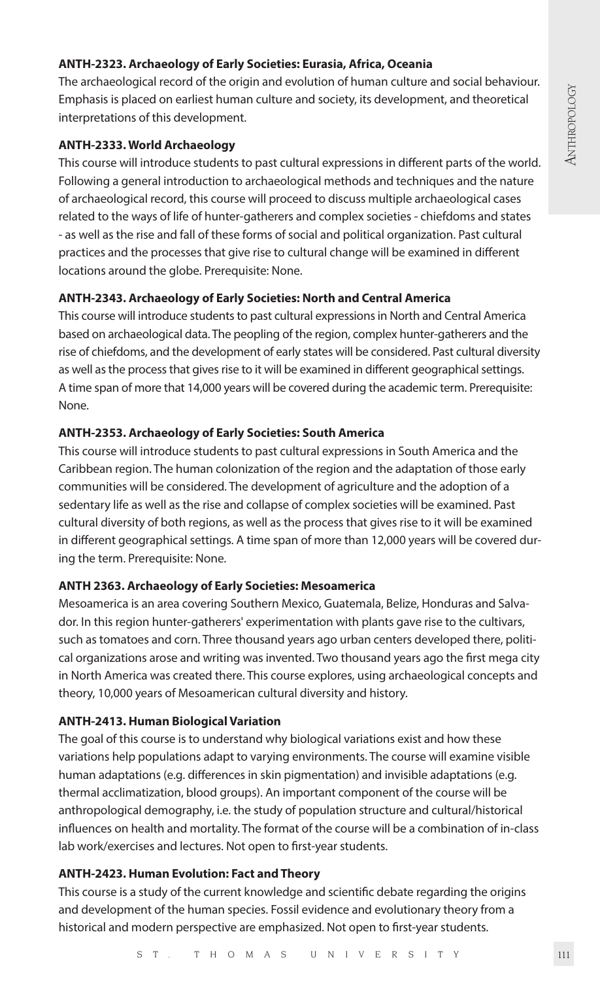# **ANTH-2323. Archaeology of Early Societies: Eurasia, Africa, Oceania**

The archaeological record of the origin and evolution of human culture and social behaviour. Emphasis is placed on earliest human culture and society, its development, and theoretical interpretations of this development.

# **ANTH-2333. World Archaeology**

This course will introduce students to past cultural expressions in different parts of the world. Following a general introduction to archaeological methods and techniques and the nature of archaeological record, this course will proceed to discuss multiple archaeological cases related to the ways of life of hunter-gatherers and complex societies - chiefdoms and states - as well as the rise and fall of these forms of social and political organization. Past cultural practices and the processes that give rise to cultural change will be examined in different locations around the globe. Prerequisite: None.

# **ANTH-2343. Archaeology of Early Societies: North and Central America**

This course will introduce students to past cultural expressions in North and Central America based on archaeological data. The peopling of the region, complex hunter-gatherers and the rise of chiefdoms, and the development of early states will be considered. Past cultural diversity as well as the process that gives rise to it will be examined in different geographical settings. A time span of more that 14,000 years will be covered during the academic term. Prerequisite: None.

#### **ANTH-2353. Archaeology of Early Societies: South America**

This course will introduce students to past cultural expressions in South America and the Caribbean region. The human colonization of the region and the adaptation of those early communities will be considered. The development of agriculture and the adoption of a sedentary life as well as the rise and collapse of complex societies will be examined. Past cultural diversity of both regions, as well as the process that gives rise to it will be examined in different geographical settings. A time span of more than 12,000 years will be covered during the term. Prerequisite: None.

#### **ANTH 2363. Archaeology of Early Societies: Mesoamerica**

Mesoamerica is an area covering Southern Mexico, Guatemala, Belize, Honduras and Salvador. In this region hunter-gatherers' experimentation with plants gave rise to the cultivars, such as tomatoes and corn. Three thousand years ago urban centers developed there, political organizations arose and writing was invented. Two thousand years ago the first mega city in North America was created there. This course explores, using archaeological concepts and theory, 10,000 years of Mesoamerican cultural diversity and history.

#### **ANTH-2413. Human Biological Variation**

The goal of this course is to understand why biological variations exist and how these variations help populations adapt to varying environments. The course will examine visible human adaptations (e.g. differences in skin pigmentation) and invisible adaptations (e.g. thermal acclimatization, blood groups). An important component of the course will be anthropological demography, i.e. the study of population structure and cultural/historical influences on health and mortality. The format of the course will be a combination of in-class lab work/exercises and lectures. Not open to first-year students.

#### **ANTH-2423. Human Evolution: Fact and Theory**

This course is a study of the current knowledge and scientific debate regarding the origins and development of the human species. Fossil evidence and evolutionary theory from a historical and modern perspective are emphasized. Not open to first-year students.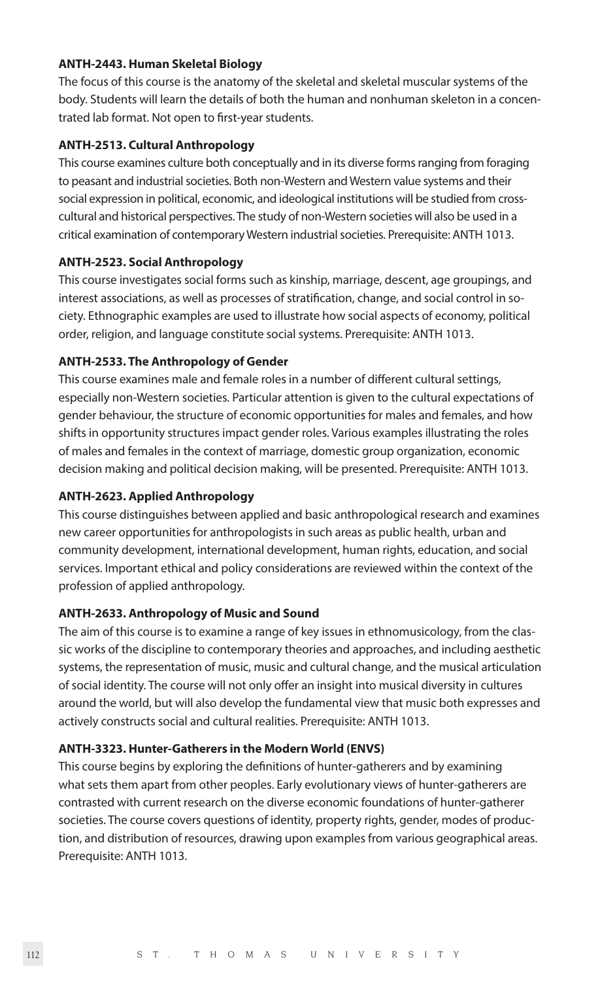#### **ANTH-2443. Human Skeletal Biology**

The focus of this course is the anatomy of the skeletal and skeletal muscular systems of the body. Students will learn the details of both the human and nonhuman skeleton in a concentrated lab format. Not open to first-year students.

# **ANTH-2513. Cultural Anthropology**

This course examines culture both conceptually and in its diverse forms ranging from foraging to peasant and industrial societies. Both non-Western and Western value systems and their social expression in political, economic, and ideological institutions will be studied from crosscultural and historical perspectives. The study of non-Western societies will also be used in a critical examination of contemporary Western industrial societies. Prerequisite: ANTH 1013.

#### **ANTH-2523. Social Anthropology**

This course investigates social forms such as kinship, marriage, descent, age groupings, and interest associations, as well as processes of stratification, change, and social control in society. Ethnographic examples are used to illustrate how social aspects of economy, political order, religion, and language constitute social systems. Prerequisite: ANTH 1013.

#### **ANTH-2533. The Anthropology of Gender**

This course examines male and female roles in a number of different cultural settings, especially non-Western societies. Particular attention is given to the cultural expectations of gender behaviour, the structure of economic opportunities for males and females, and how shifts in opportunity structures impact gender roles. Various examples illustrating the roles of males and females in the context of marriage, domestic group organization, economic decision making and political decision making, will be presented. Prerequisite: ANTH 1013.

# **ANTH-2623. Applied Anthropology**

This course distinguishes between applied and basic anthropological research and examines new career opportunities for anthropologists in such areas as public health, urban and community development, international development, human rights, education, and social services. Important ethical and policy considerations are reviewed within the context of the profession of applied anthropology.

# **ANTH-2633. Anthropology of Music and Sound**

The aim of this course is to examine a range of key issues in ethnomusicology, from the classic works of the discipline to contemporary theories and approaches, and including aesthetic systems, the representation of music, music and cultural change, and the musical articulation of social identity. The course will not only offer an insight into musical diversity in cultures around the world, but will also develop the fundamental view that music both expresses and actively constructs social and cultural realities. Prerequisite: ANTH 1013.

#### **ANTH-3323. Hunter-Gatherers in the Modern World (ENVS)**

This course begins by exploring the definitions of hunter-gatherers and by examining what sets them apart from other peoples. Early evolutionary views of hunter-gatherers are contrasted with current research on the diverse economic foundations of hunter-gatherer societies. The course covers questions of identity, property rights, gender, modes of production, and distribution of resources, drawing upon examples from various geographical areas. Prerequisite: ANTH 1013.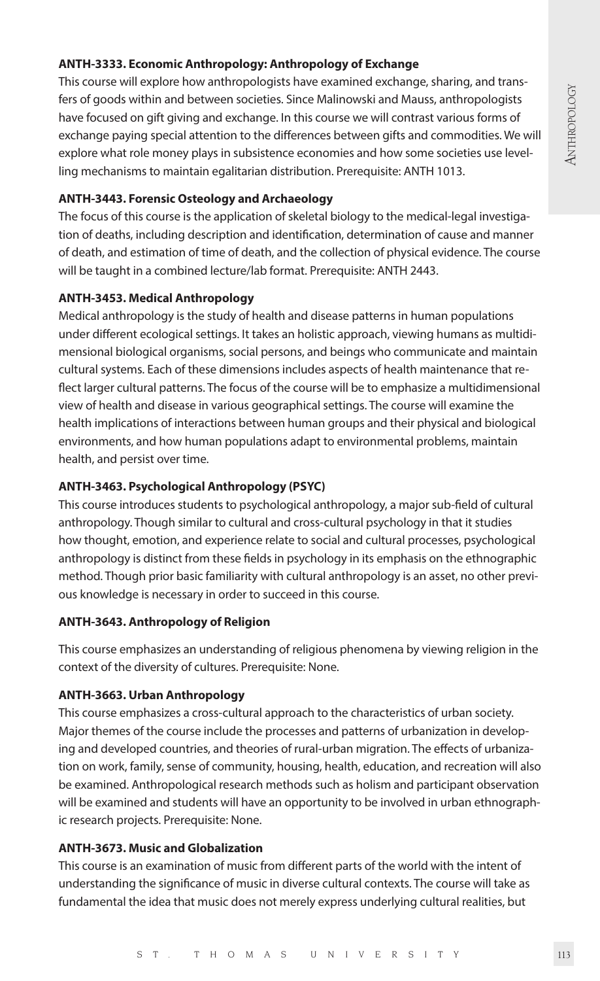# ANTHROPOLOGY **ANTHROPOLOGY**

# **ANTH-3333. Economic Anthropology: Anthropology of Exchange**

This course will explore how anthropologists have examined exchange, sharing, and transfers of goods within and between societies. Since Malinowski and Mauss, anthropologists have focused on gift giving and exchange. In this course we will contrast various forms of exchange paying special attention to the differences between gifts and commodities. We will explore what role money plays in subsistence economies and how some societies use levelling mechanisms to maintain egalitarian distribution. Prerequisite: ANTH 1013.

# **ANTH-3443. Forensic Osteology and Archaeology**

The focus of this course is the application of skeletal biology to the medical-legal investigation of deaths, including description and identification, determination of cause and manner of death, and estimation of time of death, and the collection of physical evidence. The course will be taught in a combined lecture/lab format. Prerequisite: ANTH 2443.

# **ANTH-3453. Medical Anthropology**

Medical anthropology is the study of health and disease patterns in human populations under different ecological settings. It takes an holistic approach, viewing humans as multidimensional biological organisms, social persons, and beings who communicate and maintain cultural systems. Each of these dimensions includes aspects of health maintenance that reflect larger cultural patterns. The focus of the course will be to emphasize a multidimensional view of health and disease in various geographical settings. The course will examine the health implications of interactions between human groups and their physical and biological environments, and how human populations adapt to environmental problems, maintain health, and persist over time.

# **ANTH-3463. Psychological Anthropology (PSYC)**

This course introduces students to psychological anthropology, a major sub-field of cultural anthropology. Though similar to cultural and cross-cultural psychology in that it studies how thought, emotion, and experience relate to social and cultural processes, psychological anthropology is distinct from these fields in psychology in its emphasis on the ethnographic method. Though prior basic familiarity with cultural anthropology is an asset, no other previous knowledge is necessary in order to succeed in this course.

# **ANTH-3643. Anthropology of Religion**

This course emphasizes an understanding of religious phenomena by viewing religion in the context of the diversity of cultures. Prerequisite: None.

# **ANTH-3663. Urban Anthropology**

This course emphasizes a cross-cultural approach to the characteristics of urban society. Major themes of the course include the processes and patterns of urbanization in developing and developed countries, and theories of rural-urban migration. The effects of urbanization on work, family, sense of community, housing, health, education, and recreation will also be examined. Anthropological research methods such as holism and participant observation will be examined and students will have an opportunity to be involved in urban ethnographic research projects. Prerequisite: None.

# **ANTH-3673. Music and Globalization**

This course is an examination of music from different parts of the world with the intent of understanding the significance of music in diverse cultural contexts. The course will take as fundamental the idea that music does not merely express underlying cultural realities, but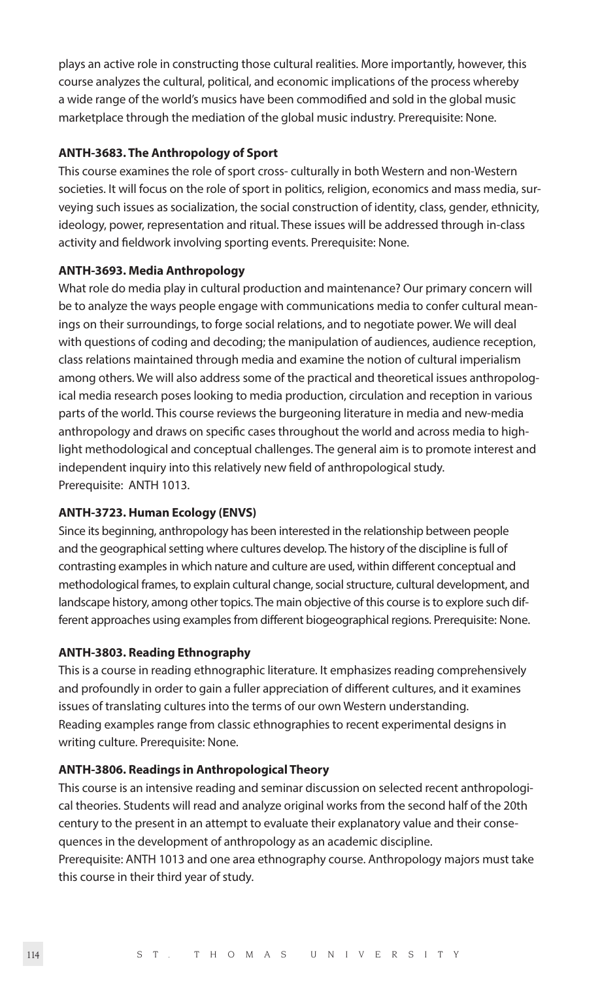plays an active role in constructing those cultural realities. More importantly, however, this course analyzes the cultural, political, and economic implications of the process whereby a wide range of the world's musics have been commodified and sold in the global music marketplace through the mediation of the global music industry. Prerequisite: None.

# **ANTH-3683. The Anthropology of Sport**

This course examines the role of sport cross- culturally in both Western and non-Western societies. It will focus on the role of sport in politics, religion, economics and mass media, surveying such issues as socialization, the social construction of identity, class, gender, ethnicity, ideology, power, representation and ritual. These issues will be addressed through in-class activity and fieldwork involving sporting events. Prerequisite: None.

#### **ANTH-3693. Media Anthropology**

What role do media play in cultural production and maintenance? Our primary concern will be to analyze the ways people engage with communications media to confer cultural meanings on their surroundings, to forge social relations, and to negotiate power. We will deal with questions of coding and decoding; the manipulation of audiences, audience reception, class relations maintained through media and examine the notion of cultural imperialism among others. We will also address some of the practical and theoretical issues anthropological media research poses looking to media production, circulation and reception in various parts of the world. This course reviews the burgeoning literature in media and new-media anthropology and draws on specific cases throughout the world and across media to highlight methodological and conceptual challenges. The general aim is to promote interest and independent inquiry into this relatively new field of anthropological study. Prerequisite: ANTH 1013.

#### **ANTH-3723. Human Ecology (ENVS)**

Since its beginning, anthropology has been interested in the relationship between people and the geographical setting where cultures develop. The history of the discipline is full of contrasting examples in which nature and culture are used, within different conceptual and methodological frames, to explain cultural change, social structure, cultural development, and landscape history, among other topics. The main objective of this course is to explore such different approaches using examples from different biogeographical regions. Prerequisite: None.

# **ANTH-3803. Reading Ethnography**

This is a course in reading ethnographic literature. It emphasizes reading comprehensively and profoundly in order to gain a fuller appreciation of different cultures, and it examines issues of translating cultures into the terms of our own Western understanding. Reading examples range from classic ethnographies to recent experimental designs in writing culture. Prerequisite: None.

#### **ANTH-3806. Readings in Anthropological Theory**

This course is an intensive reading and seminar discussion on selected recent anthropological theories. Students will read and analyze original works from the second half of the 20th century to the present in an attempt to evaluate their explanatory value and their consequences in the development of anthropology as an academic discipline.

Prerequisite: ANTH 1013 and one area ethnography course. Anthropology majors must take this course in their third year of study.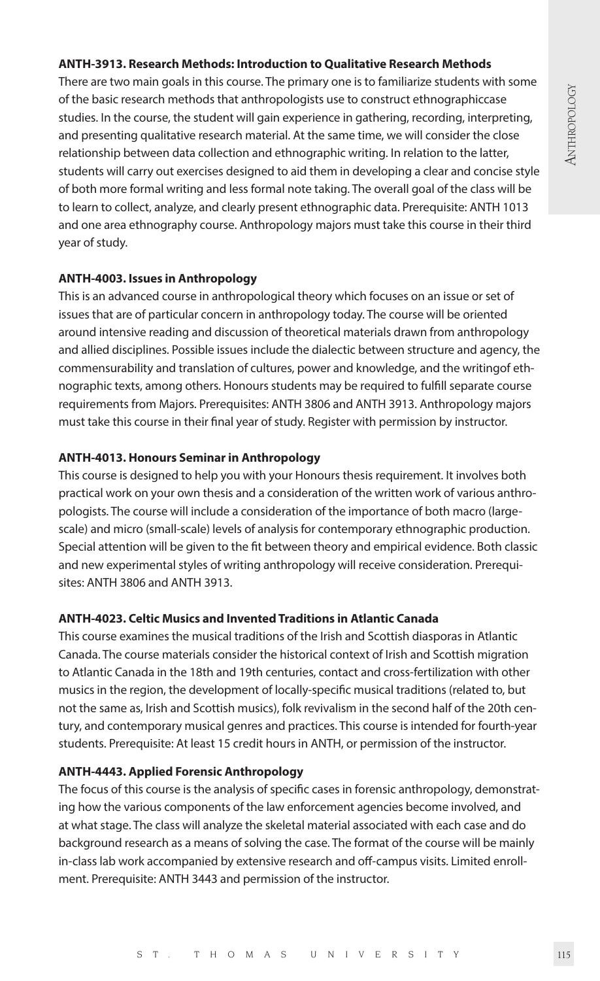#### **ANTH-3913. Research Methods: Introduction to Qualitative Research Methods**

There are two main goals in this course. The primary one is to familiarize students with some of the basic research methods that anthropologists use to construct ethnographiccase studies. In the course, the student will gain experience in gathering, recording, interpreting, and presenting qualitative research material. At the same time, we will consider the close relationship between data collection and ethnographic writing. In relation to the latter, students will carry out exercises designed to aid them in developing a clear and concise style of both more formal writing and less formal note taking. The overall goal of the class will be to learn to collect, analyze, and clearly present ethnographic data. Prerequisite: ANTH 1013 and one area ethnography course. Anthropology majors must take this course in their third year of study.

# **ANTH-4003. Issues in Anthropology**

This is an advanced course in anthropological theory which focuses on an issue or set of issues that are of particular concern in anthropology today. The course will be oriented around intensive reading and discussion of theoretical materials drawn from anthropology and allied disciplines. Possible issues include the dialectic between structure and agency, the commensurability and translation of cultures, power and knowledge, and the writingof ethnographic texts, among others. Honours students may be required to fulfill separate course requirements from Majors. Prerequisites: ANTH 3806 and ANTH 3913. Anthropology majors must take this course in their final year of study. Register with permission by instructor.

# **ANTH-4013. Honours Seminar in Anthropology**

This course is designed to help you with your Honours thesis requirement. It involves both practical work on your own thesis and a consideration of the written work of various anthropologists. The course will include a consideration of the importance of both macro (largescale) and micro (small-scale) levels of analysis for contemporary ethnographic production. Special attention will be given to the fit between theory and empirical evidence. Both classic and new experimental styles of writing anthropology will receive consideration. Prerequisites: ANTH 3806 and ANTH 3913.

# **ANTH-4023. Celtic Musics and Invented Traditions in Atlantic Canada**

This course examines the musical traditions of the Irish and Scottish diasporas in Atlantic Canada. The course materials consider the historical context of Irish and Scottish migration to Atlantic Canada in the 18th and 19th centuries, contact and cross-fertilization with other musics in the region, the development of locally-specific musical traditions (related to, but not the same as, Irish and Scottish musics), folk revivalism in the second half of the 20th century, and contemporary musical genres and practices. This course is intended for fourth-year students. Prerequisite: At least 15 credit hours in ANTH, or permission of the instructor.

# **ANTH-4443. Applied Forensic Anthropology**

The focus of this course is the analysis of specific cases in forensic anthropology, demonstrating how the various components of the law enforcement agencies become involved, and at what stage. The class will analyze the skeletal material associated with each case and do background research as a means of solving the case. The format of the course will be mainly in-class lab work accompanied by extensive research and off-campus visits. Limited enrollment. Prerequisite: ANTH 3443 and permission of the instructor.